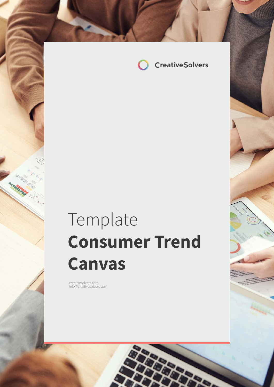

# Template **Consumer Trend Canvas**

com in formal company of the company of the company of the company of the company of the company of the company of the company of the company of the company of the company of the company of the company of the company of th

creativesolvers.com info@creativesolvers.com

a birtir.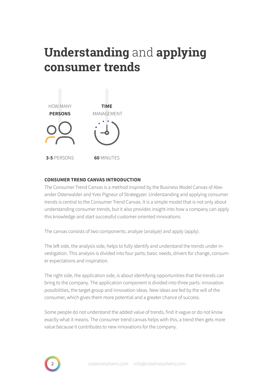## **Understanding** and **applying consumer trends**



### **CONSUMER TREND CANVAS INTRODUCTION**

The Consumer Trend Canvas is a method inspired by the Business Model Canvas of Alexander Osterwalder and Yves Pigneur of Strategyzer. Understanding and applying consumer trends is central to the Consumer Trend Canvas. It is a simple model that is not only about understanding consumer trends, but it also provides insight into how a company can apply this knowledge and start successful customer-oriented innovations.

The canvas consists of two components; analyze (analyze) and apply (apply).

The left side, the analysis side, helps to fully identify and understand the trends under investigation. This analysis is divided into four parts; basic needs, drivers for change, consumer expectations and inspiration.

The right side, the application side, is about identifying opportunities that the trends can bring to the company. The application component is divided into three parts: innovation possibilities, the target group and innovation ideas. New ideas are fed by the will of the consumer, which gives them more potential and a greater chance of success.

Some people do not understand the added value of trends, find it vague or do not know exactly what it means. The consumer trend canvas helps with this, a trend then gets more value because it contributes to new innovations for the company.

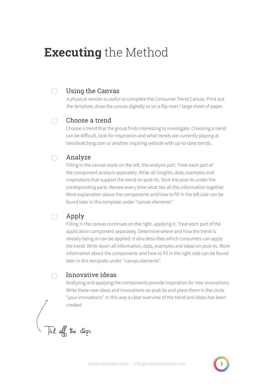## **Executing** the Method

#### ∩ Using the Canvas

A physical version is useful to complete the Consumer Trend Canvas. Print out the template, draw the canvas digitally or on a flip-over / large sheet of paper.

#### $\cap$ Choose a trend

Choose a trend that the group finds interesting to investigate. Choosing a trend can be difficult, look for inspiration and what trends are currently playing at trendwatching.com or another inspiring website with up-to-date trends.

### Analyze

 $\Box$ 

∩

Filling in the canvas starts on the left, the analysis part. Treat each part of the component analysis separately. Write all insights, data, examples and inspirations that support the trend on post-its. Stick the post-its under the corresponding parts. Review every time what ties all this information together. More explanation about the components and how to fill in the left side can be found later in this template under "canvas elements".

### Apply

Filling in the canvas continues on the right, applying it. Treat each part of the application component separately. Determine where and how the trend is already being or can be applied. It also describes which consumers can apply the trend. Write down all information, data, examples and ideas on post-its. More information about the components and how to fill in the right side can be found later in this template under "canvas elements".

### Innovative ideas

Analyzing and applying the components provide inspiration for new innovations. Write these new ideas and innovations on post-its and place them in the circle "your innovations". In this way a clear overview of the trend and ideas has been created.

Tick off the steps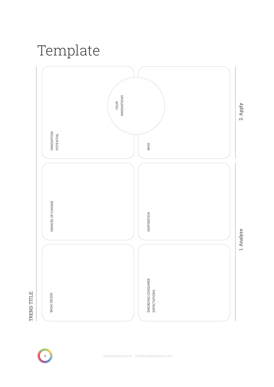# Template



TREND TITLE: TREND TITLE: